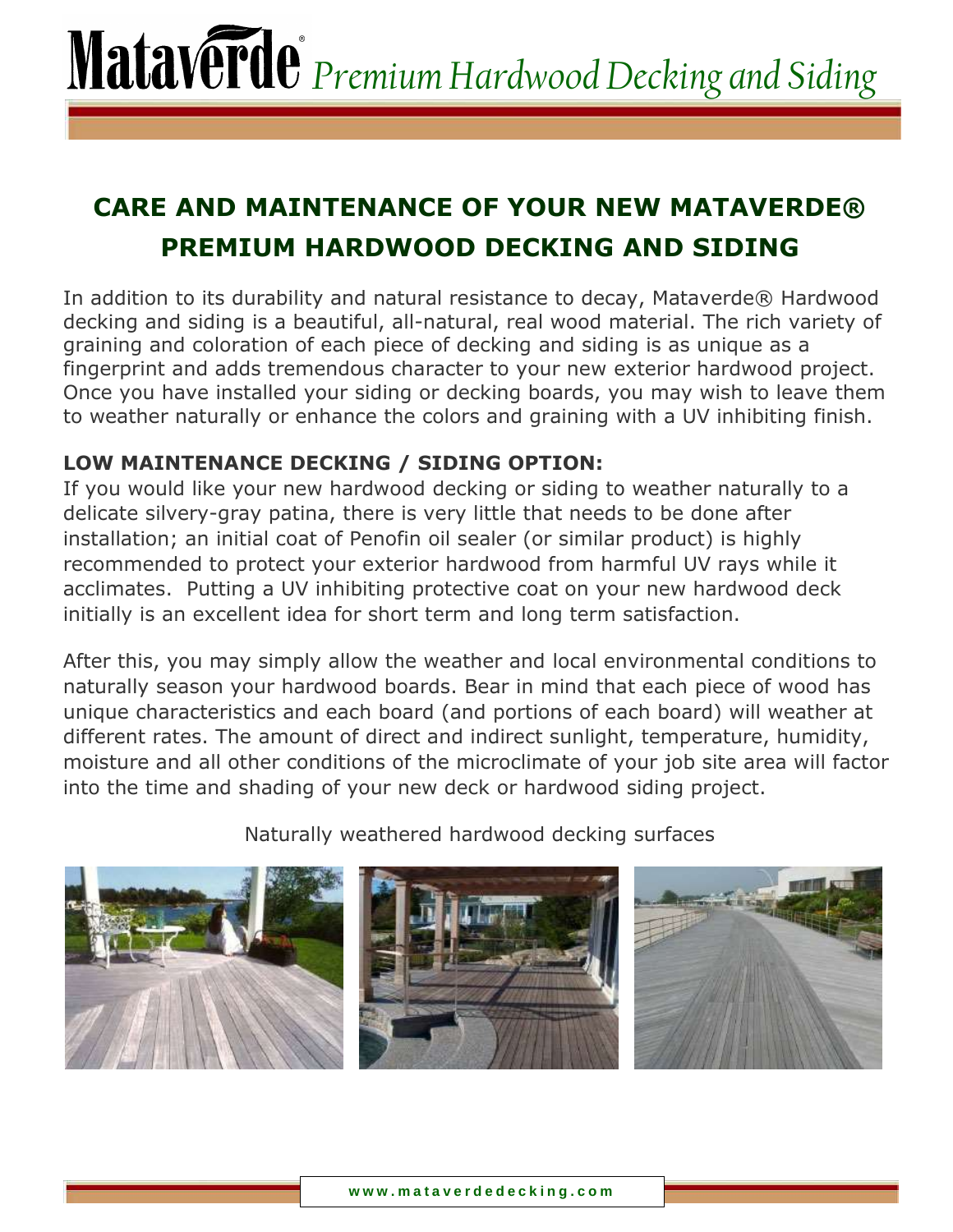### **CARE AND MAINTENANCE OF YOUR NEW MATAVERDE® PREMIUM HARDWOOD DECKING AND SIDING**

In addition to its durability and natural resistance to decay, Mataverde® Hardwood decking and siding is a beautiful, all-natural, real wood material. The rich variety of graining and coloration of each piece of decking and siding is as unique as a fingerprint and adds tremendous character to your new exterior hardwood project. Once you have installed your siding or decking boards, you may wish to leave them to weather naturally or enhance the colors and graining with a UV inhibiting finish.

### **LOW MAINTENANCE DECKING / SIDING OPTION:**

If you would like your new hardwood decking or siding to weather naturally to a delicate silvery-gray patina, there is very little that needs to be done after installation; an initial coat of Penofin oil sealer (or similar product) is highly recommended to protect your exterior hardwood from harmful UV rays while it acclimates. Putting a UV inhibiting protective coat on your new hardwood deck initially is an excellent idea for short term and long term satisfaction.

After this, you may simply allow the weather and local environmental conditions to naturally season your hardwood boards. Bear in mind that each piece of wood has unique characteristics and each board (and portions of each board) will weather at different rates. The amount of direct and indirect sunlight, temperature, humidity, moisture and all other conditions of the microclimate of your job site area will factor into the time and shading of your new deck or hardwood siding project.

Naturally weathered hardwood decking surfaces

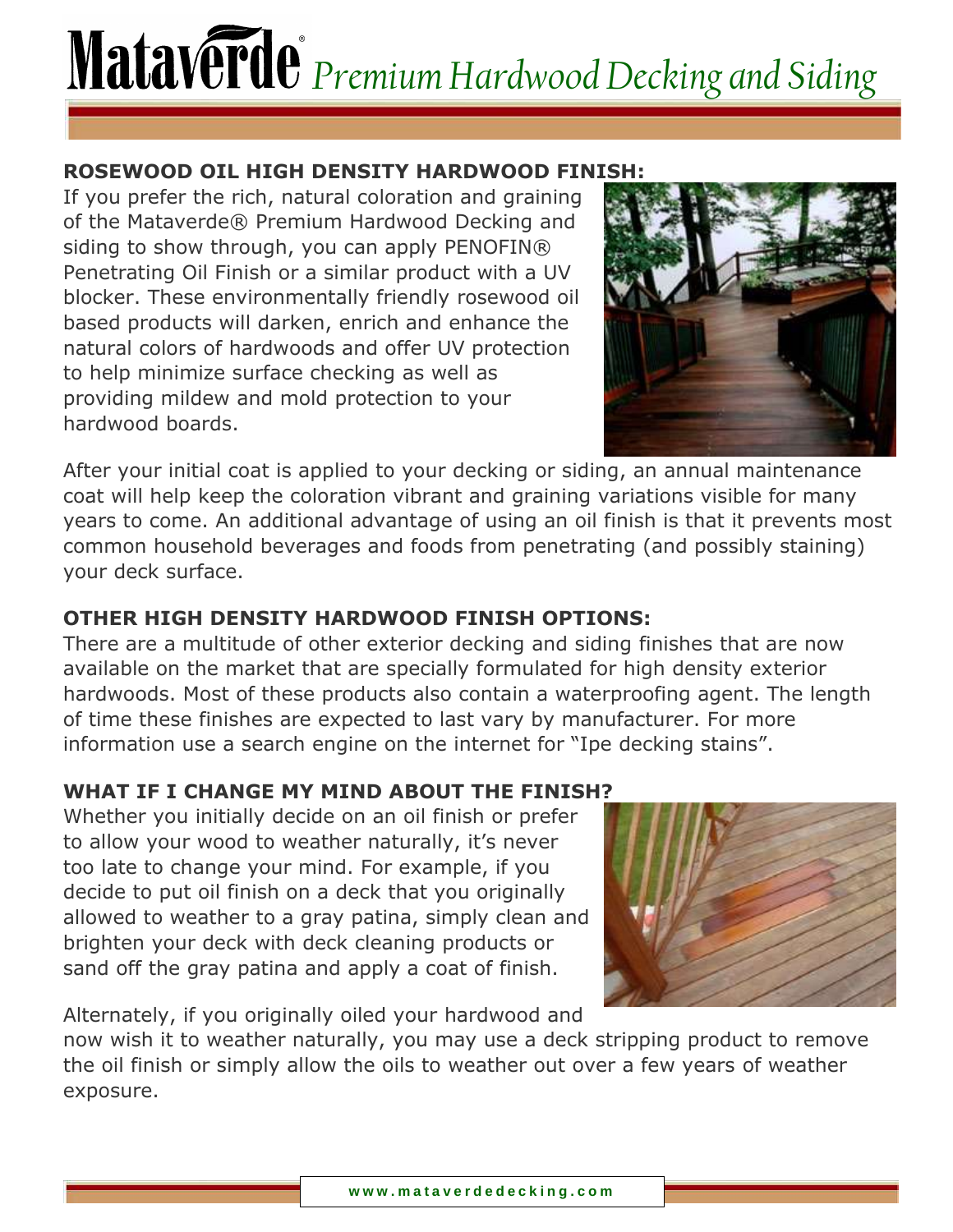### **ROSEWOOD OIL HIGH DENSITY HARDWOOD FINISH:**

If you prefer the rich, natural coloration and graining of the Mataverde® Premium Hardwood Decking and siding to show through, you can apply PENOFIN® Penetrating Oil Finish or a similar product with a UV blocker. These environmentally friendly rosewood oil based products will darken, enrich and enhance the natural colors of hardwoods and offer UV protection to help minimize surface checking as well as providing mildew and mold protection to your hardwood boards.



After your initial coat is applied to your decking or siding, an annual maintenance coat will help keep the coloration vibrant and graining variations visible for many years to come. An additional advantage of using an oil finish is that it prevents most common household beverages and foods from penetrating (and possibly staining) your deck surface.

### **OTHER HIGH DENSITY HARDWOOD FINISH OPTIONS:**

There are a multitude of other exterior decking and siding finishes that are now available on the market that are specially formulated for high density exterior hardwoods. Most of these products also contain a waterproofing agent. The length of time these finishes are expected to last vary by manufacturer. For more information use a search engine on the internet for "Ipe decking stains".

### **WHAT IF I CHANGE MY MIND ABOUT THE FINISH?**

Whether you initially decide on an oil finish or prefer to allow your wood to weather naturally, it's never too late to change your mind. For example, if you decide to put oil finish on a deck that you originally allowed to weather to a gray patina, simply clean and brighten your deck with deck cleaning products or sand off the gray patina and apply a coat of finish.



Alternately, if you originally oiled your hardwood and

now wish it to weather naturally, you may use a deck stripping product to remove the oil finish or simply allow the oils to weather out over a few years of weather exposure.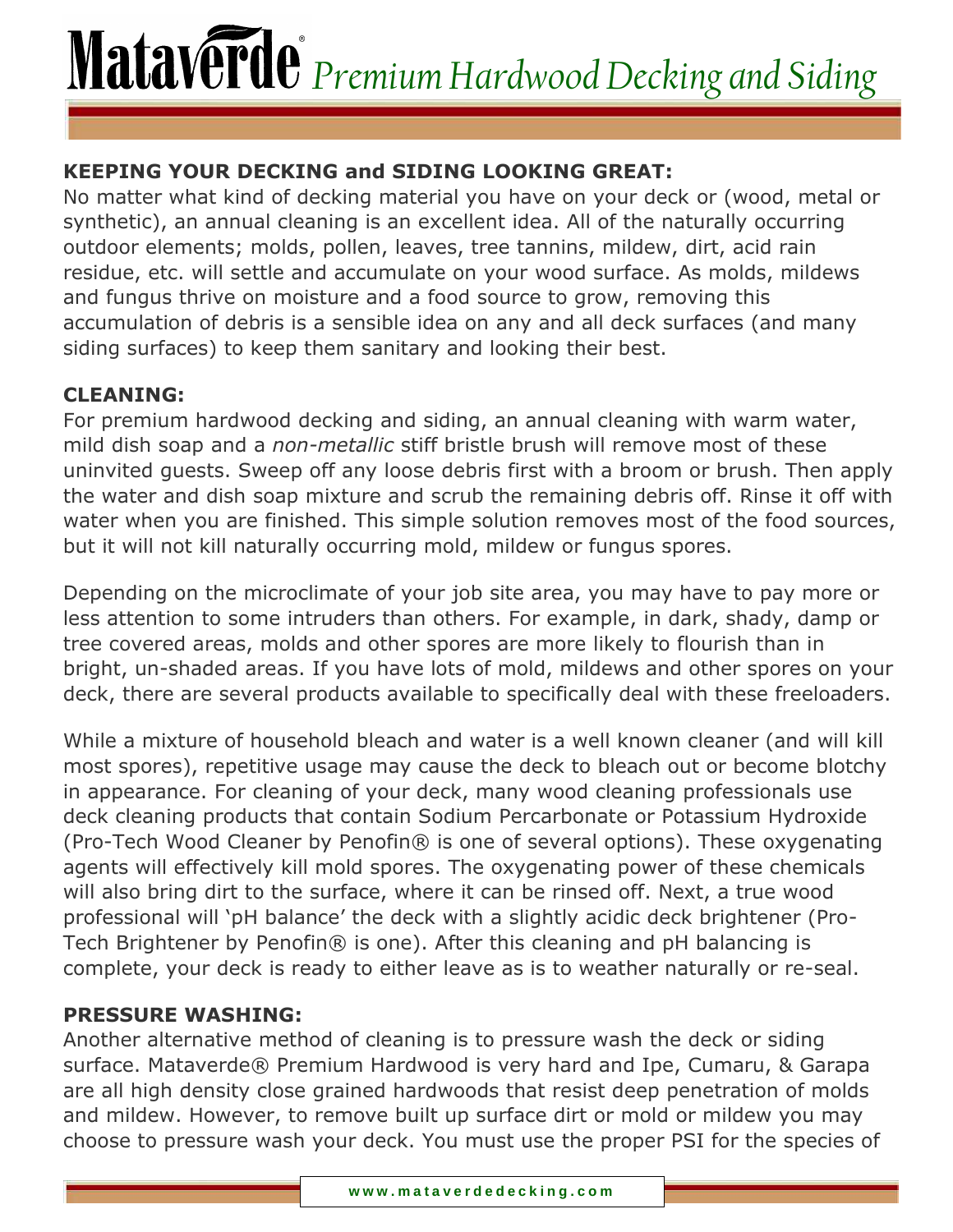### **KEEPING YOUR DECKING and SIDING LOOKING GREAT:**

No matter what kind of decking material you have on your deck or (wood, metal or synthetic), an annual cleaning is an excellent idea. All of the naturally occurring outdoor elements; molds, pollen, leaves, tree tannins, mildew, dirt, acid rain residue, etc. will settle and accumulate on your wood surface. As molds, mildews and fungus thrive on moisture and a food source to grow, removing this accumulation of debris is a sensible idea on any and all deck surfaces (and many siding surfaces) to keep them sanitary and looking their best.

### **CLEANING:**

For premium hardwood decking and siding, an annual cleaning with warm water, mild dish soap and a *non-metallic* stiff bristle brush will remove most of these uninvited guests. Sweep off any loose debris first with a broom or brush. Then apply the water and dish soap mixture and scrub the remaining debris off. Rinse it off with water when you are finished. This simple solution removes most of the food sources, but it will not kill naturally occurring mold, mildew or fungus spores.

Depending on the microclimate of your job site area, you may have to pay more or less attention to some intruders than others. For example, in dark, shady, damp or tree covered areas, molds and other spores are more likely to flourish than in bright, un-shaded areas. If you have lots of mold, mildews and other spores on your deck, there are several products available to specifically deal with these freeloaders.

While a mixture of household bleach and water is a well known cleaner (and will kill most spores), repetitive usage may cause the deck to bleach out or become blotchy in appearance. For cleaning of your deck, many wood cleaning professionals use deck cleaning products that contain Sodium Percarbonate or Potassium Hydroxide (Pro-Tech Wood Cleaner by Penofin® is one of several options). These oxygenating agents will effectively kill mold spores. The oxygenating power of these chemicals will also bring dirt to the surface, where it can be rinsed off. Next, a true wood professional will 'pH balance' the deck with a slightly acidic deck brightener (Pro-Tech Brightener by Penofin® is one). After this cleaning and pH balancing is complete, your deck is ready to either leave as is to weather naturally or re-seal.

### **PRESSURE WASHING:**

Another alternative method of cleaning is to pressure wash the deck or siding surface. Mataverde® Premium Hardwood is very hard and Ipe, Cumaru, & Garapa are all high density close grained hardwoods that resist deep penetration of molds and mildew. However, to remove built up surface dirt or mold or mildew you may choose to pressure wash your deck. You must use the proper PSI for the species of